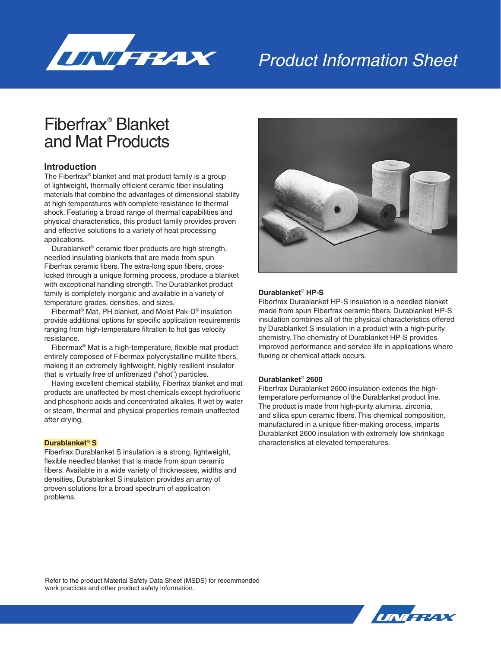

# Product Information Sheet

## Fiberfrax® Blanket and Mat Products

### **Introduction**

The Fiberfrax® blanket and mat product family is a group of lightweight, thermally efficient ceramic fiber insulating materials that combine the advantages of dimensional stability at high temperatures with complete resistance to thermal shock. Featuring a broad range of thermal capabilities and physical characteristics, this product family provides proven and effective solutions to a variety of heat processing applications.

Durablanket® ceramic fiber products are high strength, needled insulating blankets that are made from spun Fiberfrax ceramic fibers. The extra-long spun fibers, crosslocked through a unique forming process, produce a blanket with exceptional handling strength. The Durablanket product family is completely inorganic and available in a variety of temperature grades, densities, and sizes.

Fibermat® Mat, PH blanket, and Moist Pak-D® insulation provide additional options for specific application requirements ranging from high-temperature filtration to hot gas velocity resistance.

Fibermax® Mat is a high-temperature, flexible mat product entirely composed of Fibermax polycrystalline mullite fibers, making it an extremely lightweight, highly resilient insulator that is virtually free of unfiberized ("shot") particles.

Having excellent chemical stability, Fiberfrax blanket and mat products are unaffected by most chemicals except hydrofluoric and phosphoric acids and concentrated alkalies. If wet by water or steam, thermal and physical properties remain unaffected after drying.

#### **Durablanket**® **S**

Fiberfrax Durablanket S insulation is a strong, lightweight, flexible needled blanket that is made from spun ceramic fibers. Available in a wide variety of thicknesses, widths and densities, Durablanket S insulation provides an array of proven solutions for a broad spectrum of application problems.



### **Durablanket**® **HP-S**

Fiberfrax Durablanket HP-S insulation is a needled blanket made from spun Fiberfrax ceramic fibers. Durablanket HP-S insulation combines all of the physical characteristics offered by Durablanket S insulation in a product with a high-purity chemistry. The chemistry of Durablanket HP-S provides improved performance and service life in applications where fluxing or chemical attack occurs.

### **Durablanket**® **2600**

Fiberfrax Durablanket 2600 insulation extends the hightemperature performance of the Durablanket product line. The product is made from high-purity alumina, zirconia, and silica spun ceramic fibers. This chemical composition, manufactured in a unique fiber-making process, imparts Durablanket 2600 insulation with extremely low shrinkage characteristics at elevated temperatures.

Refer to the product Material Safety Data Sheet (MSDS) for recommended work practices and other product safety information.

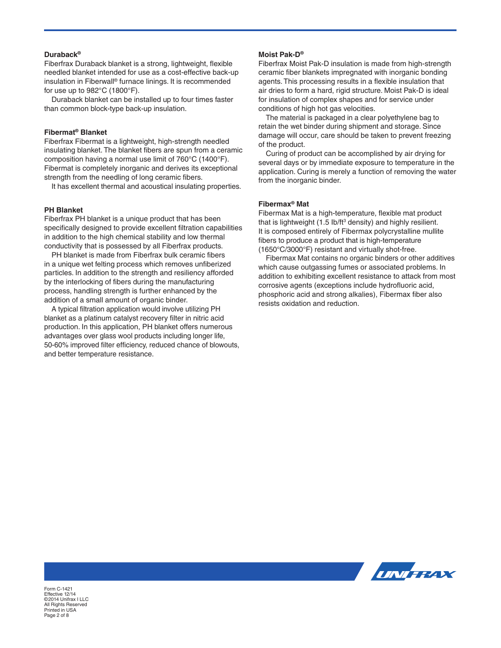#### **Duraback®**

Fiberfrax Duraback blanket is a strong, lightweight, flexible needled blanket intended for use as a cost-effective back-up insulation in Fiberwall® furnace linings. It is recommended for use up to 982°C (1800°F).

Duraback blanket can be installed up to four times faster than common block-type back-up insulation.

#### **Fibermat® Blanket**

Fiberfrax Fibermat is a lightweight, high-strength needled insulating blanket. The blanket fibers are spun from a ceramic composition having a normal use limit of 760°C (1400°F). Fibermat is completely inorganic and derives its exceptional strength from the needling of long ceramic fibers.

It has excellent thermal and acoustical insulating properties.

#### **PH Blanket**

Fiberfrax PH blanket is a unique product that has been specifically designed to provide excellent filtration capabilities in addition to the high chemical stability and low thermal conductivity that is possessed by all Fiberfrax products.

PH blanket is made from Fiberfrax bulk ceramic fibers in a unique wet felting process which removes unfiberized particles. In addition to the strength and resiliency afforded by the interlocking of fibers during the manufacturing process, handling strength is further enhanced by the addition of a small amount of organic binder.

A typical filtration application would involve utilizing PH blanket as a platinum catalyst recovery filter in nitric acid production. In this application, PH blanket offers numerous advantages over glass wool products including longer life, 50-60% improved filter efficiency, reduced chance of blowouts, and better temperature resistance.

#### **Moist Pak-D®**

Fiberfrax Moist Pak-D insulation is made from high-strength ceramic fiber blankets impregnated with inorganic bonding agents. This processing results in a flexible insulation that air dries to form a hard, rigid structure. Moist Pak-D is ideal for insulation of complex shapes and for service under conditions of high hot gas velocities.

The material is packaged in a clear polyethylene bag to retain the wet binder during shipment and storage. Since damage will occur, care should be taken to prevent freezing of the product.

Curing of product can be accomplished by air drying for several days or by immediate exposure to temperature in the application. Curing is merely a function of removing the water from the inorganic binder.

### **Fibermax® Mat**

Fibermax Mat is a high-temperature, flexible mat product that is lightweight  $(1.5 \text{ lb/ft}^3 \text{ density})$  and highly resilient. It is composed entirely of Fibermax polycrystalline mullite fibers to produce a product that is high-temperature (1650°C/3000°F) resistant and virtually shot-free.

Fibermax Mat contains no organic binders or other additives which cause outgassing fumes or associated problems. In addition to exhibiting excellent resistance to attack from most corrosive agents (exceptions include hydrofluoric acid, phosphoric acid and strong alkalies), Fibermax fiber also resists oxidation and reduction.



Form C-1421 Effective 12/14 ©2014 Unifrax I LLC All Rights Reserved Printed in USA Page 2 of 8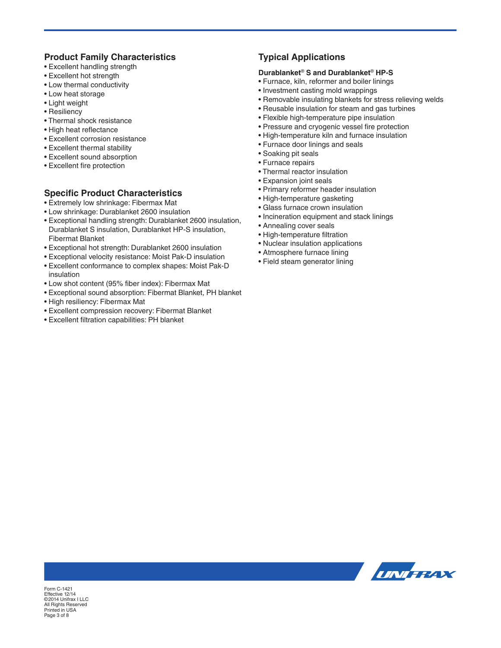### **Product Family Characteristics**

- Excellent handling strength
- Excellent hot strength
- Low thermal conductivity
- Low heat storage
- Light weight
- Resiliency
- Thermal shock resistance
- High heat reflectance
- Excellent corrosion resistance
- Excellent thermal stability
- Excellent sound absorption
- Excellent fire protection

### **Specific Product Characteristics**

- Extremely low shrinkage: Fibermax Mat
- Low shrinkage: Durablanket 2600 insulation
- Exceptional handling strength: Durablanket 2600 insulation, Durablanket S insulation, Durablanket HP-S insulation, Fibermat Blanket
- Exceptional hot strength: Durablanket 2600 insulation
- Exceptional velocity resistance: Moist Pak-D insulation
- Excellent conformance to complex shapes: Moist Pak-D insulation
- Low shot content (95% fiber index): Fibermax Mat
- Exceptional sound absorption: Fibermat Blanket, PH blanket
- High resiliency: Fibermax Mat
- Excellent compression recovery: Fibermat Blanket
- Excellent filtration capabilities: PH blanket

### **Typical Applications**

### **Durablanket**® **S and Durablanket**® **HP-S**

- Furnace, kiln, reformer and boiler linings
- Investment casting mold wrappings
- Removable insulating blankets for stress relieving welds
- Reusable insulation for steam and gas turbines
- Flexible high-temperature pipe insulation
- Pressure and cryogenic vessel fire protection
- High-temperature kiln and furnace insulation
- Furnace door linings and seals
- Soaking pit seals
- Furnace repairs
- Thermal reactor insulation
- Expansion joint seals
- Primary reformer header insulation
- High-temperature gasketing
- Glass furnace crown insulation
- Incineration equipment and stack linings
- Annealing cover seals
- High-temperature filtration
- Nuclear insulation applications
- Atmosphere furnace lining
- Field steam generator lining



Form C-1421 Effective 12/14 ©2014 Unifrax I LLC All Rights Reserved Printed in USA Page 3 of 8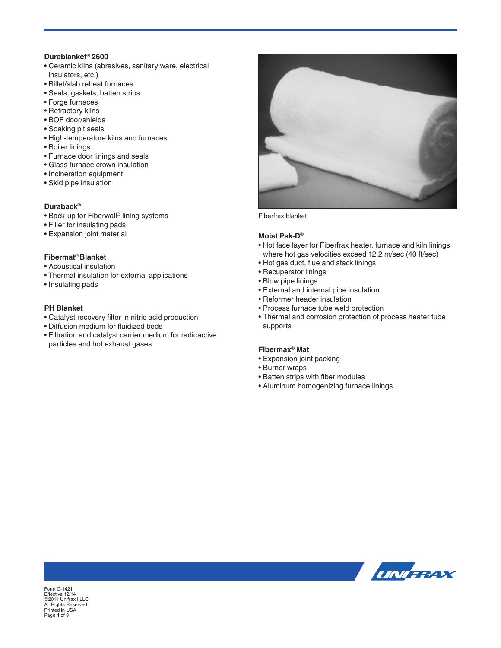### **Durablanket**® **2600**

- Ceramic kilns (abrasives, sanitary ware, electrical insulators, etc.)
- Billet/slab reheat furnaces
- Seals, gaskets, batten strips
- Forge furnaces
- Refractory kilns
- BOF door/shields
- Soaking pit seals
- High-temperature kilns and furnaces
- Boiler linings
- Furnace door linings and seals
- Glass furnace crown insulation
- Incineration equipment
- Skid pipe insulation

### **Duraback**®

- Back-up for Fiberwall® lining systems
- Filler for insulating pads
- Expansion joint material

### **Fibermat**® **Blanket**

- Acoustical insulation
- Thermal insulation for external applications
- Insulating pads

### **PH Blanket**

- Catalyst recovery filter in nitric acid production
- Diffusion medium for fluidized beds
- Filtration and catalyst carrier medium for radioactive particles and hot exhaust gases



Fiberfrax blanket

#### **Moist Pak-D**®

- Hot face layer for Fiberfrax heater, furnace and kiln linings where hot gas velocities exceed 12.2 m/sec (40 ft/sec)
- Hot gas duct, flue and stack linings
- Recuperator linings
- Blow pipe linings
- External and internal pipe insulation
- Reformer header insulation
- Process furnace tube weld protection
- Thermal and corrosion protection of process heater tube supports

### **Fibermax**® **Mat**

- Expansion joint packing
- Burner wraps
- Batten strips with fiber modules
- Aluminum homogenizing furnace linings



Form C-1421 Effective 12/14 ©2014 Unifrax I LLC All Rights Reserved Printed in USA Page 4 of 8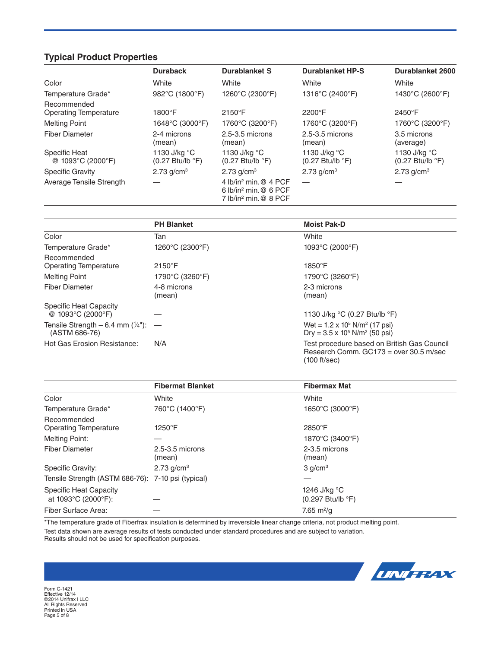### **Typical Product Properties**

|                                             | <b>Duraback</b>                                                  | <b>Durablanket S</b>                                                                     | <b>Durablanket HP-S</b>                                                    | <b>Durablanket 2600</b>                                          |
|---------------------------------------------|------------------------------------------------------------------|------------------------------------------------------------------------------------------|----------------------------------------------------------------------------|------------------------------------------------------------------|
| Color                                       | White                                                            | White                                                                                    | White                                                                      | White                                                            |
| Temperature Grade*                          | 982°C (1800°F)                                                   | 1260°C (2300°F)                                                                          | 1316°C (2400°F)                                                            | 1430°C (2600°F)                                                  |
| Recommended<br><b>Operating Temperature</b> | $1800^{\circ}$ F                                                 | $2150^{\circ}F$                                                                          | 2200°F                                                                     | 2450°F                                                           |
| <b>Melting Point</b>                        | 1648°C (3000°F)                                                  | 1760°C (3200°F)                                                                          | 1760°C (3200°F)                                                            | 1760°C (3200°F)                                                  |
| <b>Fiber Diameter</b>                       | 2-4 microns<br>(mean)                                            | $2.5 - 3.5$ microns<br>(mean)                                                            | $2.5 - 3.5$ microns<br>(mean)                                              | 3.5 microns<br>(average)                                         |
| <b>Specific Heat</b><br>@ 1093°C (2000°F)   | 1130 J/kg °C<br>$(0.27 \text{ Btu/lb} \text{ }^{\circ}\text{F})$ | 1130 J/kg °C<br>$(0.27 \text{ Btu/lb} \text{ }^{\circ}\text{F})$                         | 1130 J/kg $^{\circ}$ C<br>$(0.27 \text{ Btu/lb} \text{ }^{\circ}\text{F})$ | 1130 J/kg °C<br>$(0.27 \text{ Btu/lb} \text{ }^{\circ}\text{F})$ |
| <b>Specific Gravity</b>                     | 2.73 $q/cm3$                                                     | 2.73 $g/cm3$                                                                             | 2.73 $g/cm3$                                                               | 2.73 $q/cm3$                                                     |
| Average Tensile Strength                    |                                                                  | 4 lb/in <sup>2</sup> min.@ 4 PCF<br>6 $lb/in^2$ min, @ 6 PCF<br>7 $lb/in^2$ min, @ 8 PCF |                                                                            |                                                                  |

|                                                                   | <b>PH Blanket</b>     | <b>Moist Pak-D</b>                                                                                      |
|-------------------------------------------------------------------|-----------------------|---------------------------------------------------------------------------------------------------------|
| Color                                                             | Tan                   | White                                                                                                   |
| Temperature Grade*                                                | 1260°C (2300°F)       | 1093°C (2000°F)                                                                                         |
| Recommended<br>Operating Temperature                              | $2150^{\circ}$ F      | $1850^\circ F$                                                                                          |
| <b>Melting Point</b>                                              | 1790°C (3260°F)       | 1790°C (3260°F)                                                                                         |
| Fiber Diameter                                                    | 4-8 microns<br>(mean) | 2-3 microns<br>(mean)                                                                                   |
| Specific Heat Capacity<br>@ 1093°C (2000°F)                       |                       | 1130 J/kg °C (0.27 Btu/lb °F)                                                                           |
| Tensile Strength $-6.4$ mm $(\frac{1}{4})$ : $-$<br>(ASTM 686-76) |                       | Wet = $1.2 \times 10^5$ N/m <sup>2</sup> (17 psi)<br>Dry = $3.5 \times 10^5$ N/m <sup>2</sup> (50 psi)  |
| <b>Hot Gas Erosion Resistance:</b>                                | N/A                   | Test procedure based on British Gas Council<br>Research Comm. $GC173$ = over 30.5 m/sec<br>(100 ft/sec) |

|                                                      | <b>Fibermat Blanket</b>       | <b>Fibermax Mat</b>                                               |  |
|------------------------------------------------------|-------------------------------|-------------------------------------------------------------------|--|
| Color                                                | White                         | White                                                             |  |
| Temperature Grade*                                   | 760°C (1400°F)                | 1650 $\degree$ C (3000 $\degree$ F)                               |  |
| Recommended<br><b>Operating Temperature</b>          | 1250°F                        | 2850°F                                                            |  |
| <b>Melting Point:</b>                                |                               | 1870°C (3400°F)                                                   |  |
| <b>Fiber Diameter</b>                                | $2.5 - 3.5$ microns<br>(mean) | 2-3.5 microns<br>(mean)                                           |  |
| Specific Gravity:                                    | $2.73$ g/cm <sup>3</sup>      | 3 q/cm <sup>3</sup>                                               |  |
| Tensile Strength (ASTM 686-76): 7-10 psi (typical)   |                               |                                                                   |  |
| <b>Specific Heat Capacity</b><br>at 1093°C (2000°F): |                               | 1246 J/kg °C<br>$(0.297 \text{ Btu/lb} \text{ }^{\circ}\text{F})$ |  |
| Fiber Surface Area:                                  |                               | 7.65 m <sup>2</sup> /g                                            |  |

\*The temperature grade of Fiberfrax insulation is determined by irreversible linear change criteria, not product melting point. Test data shown are average results of tests conducted under standard procedures and are subject to variation. Results should not be used for specification purposes.



Form C-1421 Effective 12/14 ©2014 Unifrax I LLC All Rights Reserved Printed in USA Page 5 of 8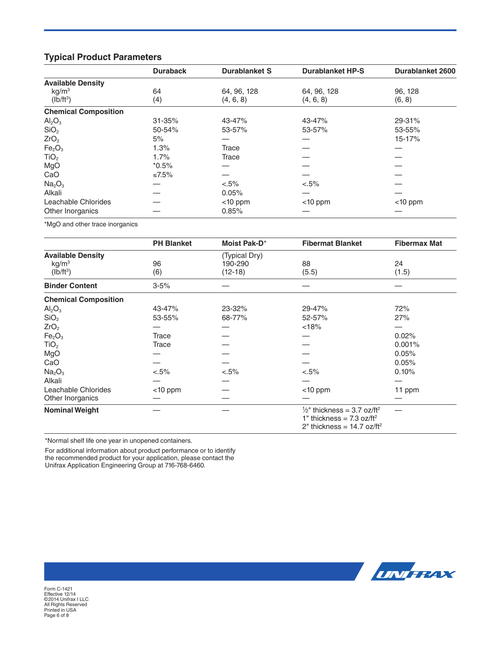### **Typical Product Parameters**

|                                | <b>Duraback</b> | <b>Durablanket S</b> | <b>Durablanket HP-S</b> | <b>Durablanket 2600</b> |
|--------------------------------|-----------------|----------------------|-------------------------|-------------------------|
| <b>Available Density</b>       |                 |                      |                         |                         |
| kg/m <sup>3</sup>              | 64              | 64, 96, 128          | 64, 96, 128             | 96, 128                 |
| $(lb/ft^3)$                    | (4)             | (4, 6, 8)            | (4, 6, 8)               | (6, 8)                  |
| <b>Chemical Composition</b>    |                 |                      |                         |                         |
| Al <sub>2</sub> O <sub>3</sub> | $31 - 35%$      | 43-47%               | 43-47%                  | 29-31%                  |
| SiO <sub>2</sub>               | 50-54%          | 53-57%               | 53-57%                  | 53-55%                  |
| ZrO <sub>2</sub>               | 5%              |                      |                         | 15-17%                  |
| Fe <sub>2</sub> O <sub>3</sub> | 1.3%            | Trace                |                         |                         |
| TiO <sub>2</sub>               | 1.7%            | Trace                |                         |                         |
| MgO                            | $*0.5%$         |                      |                         |                         |
| CaO                            | ≤7.5%           |                      |                         |                         |
| Na <sub>2</sub> O <sub>3</sub> |                 | $< 5\%$              | $< 5\%$                 |                         |
| Alkali                         |                 | 0.05%                |                         |                         |
| Leachable Chlorides            |                 | $<$ 10 ppm           | $<$ 10 ppm              | $<$ 10 ppm              |
| Other Inorganics               |                 | 0.85%                |                         |                         |

\*MgO and other trace inorganics

|                                | <b>PH Blanket</b> | Moist Pak-D*  | <b>Fibermat Blanket</b>                                                                                                                   | <b>Fibermax Mat</b> |
|--------------------------------|-------------------|---------------|-------------------------------------------------------------------------------------------------------------------------------------------|---------------------|
| <b>Available Density</b>       |                   | (Typical Dry) |                                                                                                                                           |                     |
| kg/m <sup>3</sup>              | 96                | 190-290       | 88                                                                                                                                        | 24                  |
| $(lb/ft^3)$                    | (6)               | $(12-18)$     | (5.5)                                                                                                                                     | (1.5)               |
| <b>Binder Content</b>          | $3 - 5%$          |               |                                                                                                                                           |                     |
| <b>Chemical Composition</b>    |                   |               |                                                                                                                                           |                     |
| Al <sub>2</sub> O <sub>3</sub> | 43-47%            | 23-32%        | 29-47%                                                                                                                                    | 72%                 |
| SiO <sub>2</sub>               | 53-55%            | 68-77%        | 52-57%                                                                                                                                    | 27%                 |
| ZrO <sub>2</sub>               |                   |               | < 18%                                                                                                                                     |                     |
| Fe <sub>2</sub> O <sub>3</sub> | <b>Trace</b>      |               |                                                                                                                                           | 0.02%               |
| TiO <sub>2</sub>               | <b>Trace</b>      |               |                                                                                                                                           | 0.001%              |
| MgO                            |                   |               |                                                                                                                                           | 0.05%               |
| CaO                            |                   |               |                                                                                                                                           | 0.05%               |
| Na <sub>2</sub> O <sub>3</sub> | $< 5\%$           | $< 5\%$       | $< 5\%$                                                                                                                                   | 0.10%               |
| Alkali                         |                   |               |                                                                                                                                           |                     |
| Leachable Chlorides            | $<$ 10 ppm        |               | $<$ 10 ppm                                                                                                                                | 11 ppm              |
| Other Inorganics               |                   |               |                                                                                                                                           |                     |
| <b>Nominal Weight</b>          |                   |               | $\frac{1}{2}$ " thickness = 3.7 oz/ft <sup>2</sup><br>1" thickness = $7.3$ oz/ft <sup>2</sup><br>2" thickness = $14.7$ oz/ft <sup>2</sup> |                     |

\*Normal shelf life one year in unopened containers.

For additional information about product performance or to identify the recommended product for your application, please contact the

Unifrax Application Engineering Group at 716-768-6460.



Form C-1421 Effective 12/14 ©2014 Unifrax I LLC All Rights Reserved Printed in USA Page 6 of 8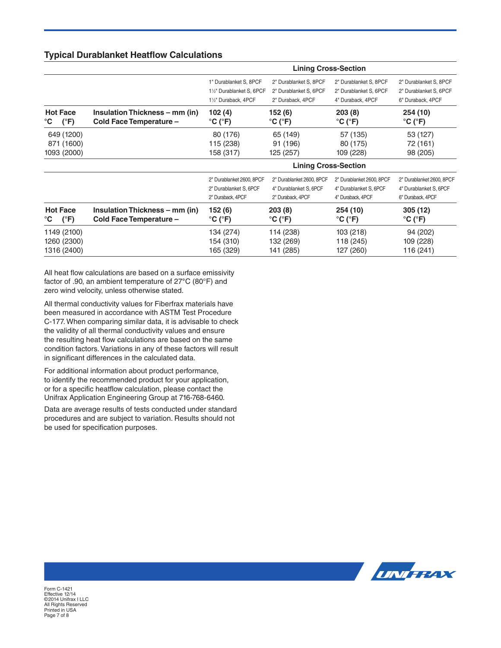### **Typical Durablanket Heatflow Calculations**

|                                                  |                                                           | <b>Lining Cross-Section</b>                                                                                                     |                                                                          |                                                                          |                                                                          |
|--------------------------------------------------|-----------------------------------------------------------|---------------------------------------------------------------------------------------------------------------------------------|--------------------------------------------------------------------------|--------------------------------------------------------------------------|--------------------------------------------------------------------------|
|                                                  |                                                           | 1" Durablanket S, 8PCF<br>1 <sup>1</sup> / <sub>2</sub> " Durablanket S, 6PCF<br>1 <sup>1</sup> / <sub>2</sub> " Duraback, 4PCF | 2" Durablanket S, 8PCF<br>2" Durablanket S, 6PCF<br>2" Duraback, 4PCF    | 2" Durablanket S, 8PCF<br>2" Durablanket S, 6PCF<br>4" Duraback, 4PCF    | 2" Durablanket S, 8PCF<br>2" Durablanket S, 6PCF<br>6" Duraback, 4PCF    |
| <b>Hot Face</b><br>$(^{\circ}F)$<br>°C           | Insulation Thickness – mm (in)<br>Cold Face Temperature - | 102 (4)<br>°C (°F)                                                                                                              | 152 (6)<br>$\rm ^{\circ}$ C ( $\rm ^{\circ}$ F)                          | 203(8)<br>$^{\circ}$ C ( $^{\circ}$ F)                                   | 254 (10)<br>$^{\circ}$ C ( $^{\circ}$ F)                                 |
| 649 (1200)<br>871 (1600)<br>1093 (2000)          |                                                           | 80 (176)<br>115 (238)<br>158 (317)                                                                                              | 65 (149)<br>91 (196)<br>125 (257)                                        | 57 (135)<br>80 (175)<br>109 (228)                                        | 53 (127)<br>72 (161)<br>98 (205)                                         |
|                                                  |                                                           | <b>Lining Cross-Section</b>                                                                                                     |                                                                          |                                                                          |                                                                          |
|                                                  |                                                           | 2" Durablanket 2600, 8PCF<br>2" Durablanket S, 6PCF<br>2" Duraback, 4PCF                                                        | 2" Durablanket 2600, 8PCF<br>4" Durablanket S, 6PCF<br>2" Duraback, 4PCF | 2" Durablanket 2600, 8PCF<br>4" Durablanket S, 6PCF<br>4" Duraback, 4PCF | 2" Durablanket 2600, 8PCF<br>4" Durablanket S, 6PCF<br>6" Duraback, 4PCF |
| <b>Hot Face</b><br>$(^{\circ}F)$<br>$^{\circ}$ C | Insulation Thickness – mm (in)<br>Cold Face Temperature - | 152 (6)<br>$^{\circ}$ C ( $^{\circ}$ F)                                                                                         | 203(8)<br>$\rm ^{\circ}$ C ( $\rm ^{\circ}$ F)                           | 254 (10)<br>$^{\circ}$ C ( $^{\circ}$ F)                                 | 305 (12)<br>$^{\circ}$ C ( $^{\circ}$ F)                                 |
| 1149 (2100)<br>1260 (2300)<br>1316 (2400)        |                                                           | 134 (274)<br>154 (310)<br>165 (329)                                                                                             | 114 (238)<br>132 (269)<br>141 (285)                                      | 103 (218)<br>118 (245)<br>127 (260)                                      | 94 (202)<br>109 (228)<br>116 (241)                                       |

All heat flow calculations are based on a surface emissivity factor of .90, an ambient temperature of 27**°**C (80°F) and zero wind velocity, unless otherwise stated.

All thermal conductivity values for Fiberfrax materials have been measured in accordance with ASTM Test Procedure C-177. When comparing similar data, it is advisable to check the validity of all thermal conductivity values and ensure the resulting heat flow calculations are based on the same condition factors. Variations in any of these factors will result in significant differences in the calculated data.

For additional information about product performance, to identify the recommended product for your application, or for a specific heatflow calculation, please contact the Unifrax Application Engineering Group at 716-768-6460.

Data are average results of tests conducted under standard procedures and are subject to variation. Results should not be used for specification purposes.



Form C-1421 Effective 12/14 ©2014 Unifrax I LLC All Rights Reserved Printed in USA Page 7 of 8